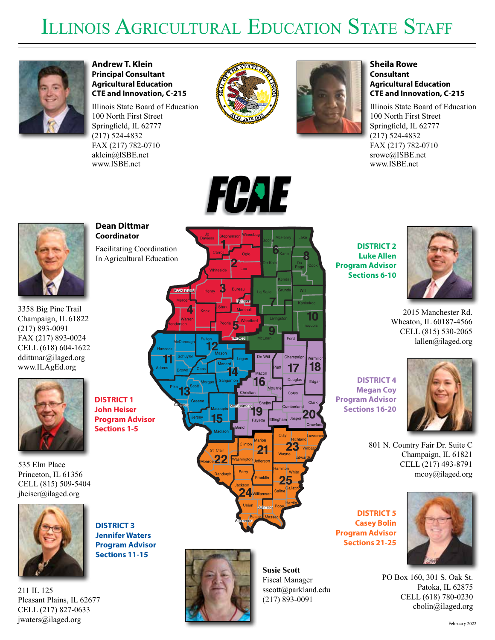## ILLINOIS AGRICULTURAL EDUCATION STATE STAFF



**Andrew T. Klein Principal Consultant Agricultural Education CTE and Innovation, C-215**

Illinois State Board of Education 100 North First Street Springfield, IL 62777 (217) 524-4832 FAX (217) 782-0710 aklein@ISBE.net www.ISBE.net





## **Sheila Rowe Consultant Agricultural Education CTE and Innovation, C-215**

Illinois State Board of Education 100 North First Street Springfield, IL 62777 (217) 524-4832 FAX (217) 782-0710 srowe@ISBE.net www.ISBE.net



3358 Big Pine Trail Champaign, IL 61822 (217) 893-0091 FAX (217) 893-0024 CELL (618) 604-1622 ddittmar@ilaged.org www.ILAgEd.org



535 Elm Place Princeton, IL 61356 CELL (815) 509-5404 jheiser@ilaged.org



**DISTRICT 3 Jennifer Waters Program Advisor Sections 11-15**

211 IL 125 Pleasant Plains, IL 62677 CELL (217) 827-0633 jwaters@ilaged.org





**Susie Scott** Fiscal Manager sscott@parkland.edu (217) 893-0091

**DISTRICT 2 Luke Allen Program Advisor Sections 6-10**



2015 Manchester Rd. Wheaton, IL 60187-4566 CELL (815) 530-2065 lallen@ilaged.org

**DISTRICT 4 Megan Coy Program Advisor Sections 16-20**



801 N. Country Fair Dr. Suite C Champaign, IL 61821 CELL (217) 493-8791 mcoy@ilaged.org

**DISTRICT 5 Casey Bolin Program Advisor Sections 21-25**



PO Box 160, 301 S. Oak St. Patoka, IL 62875 CELL (618) 780-0230 cbolin@ilaged.org